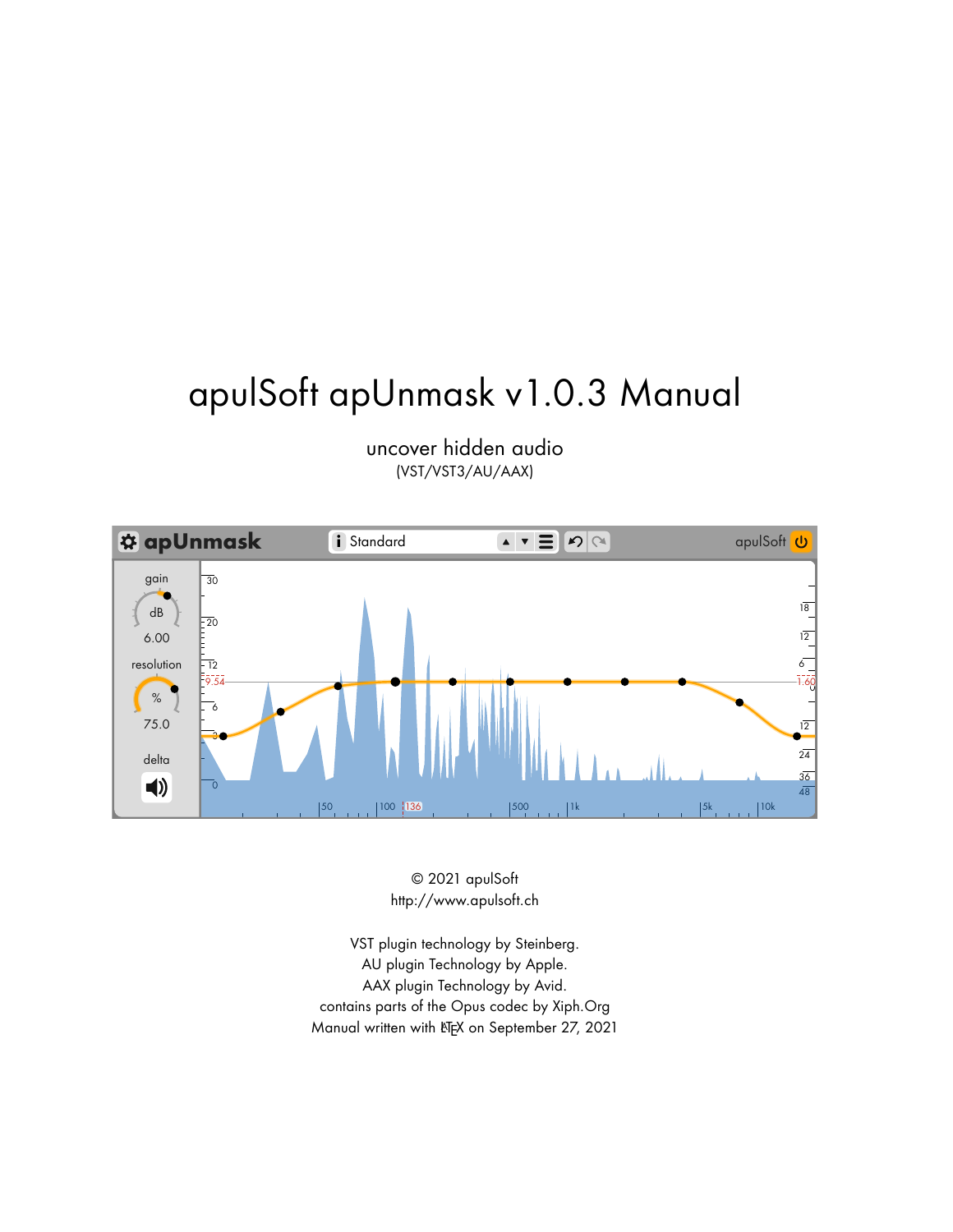# apulSoft apUnmask v1.0.3 Manual



uncover hidden audio (VST/VST3/AU/AAX)

> © 2021 apulSoft http://www.apulsoft.ch

VST plugin technology by Steinberg. AU plugin Technology by Apple. AAX plugin Technology by Avid. contains parts of the Opus codec by Xiph.Org Manual written with LTFX on September 27, 2021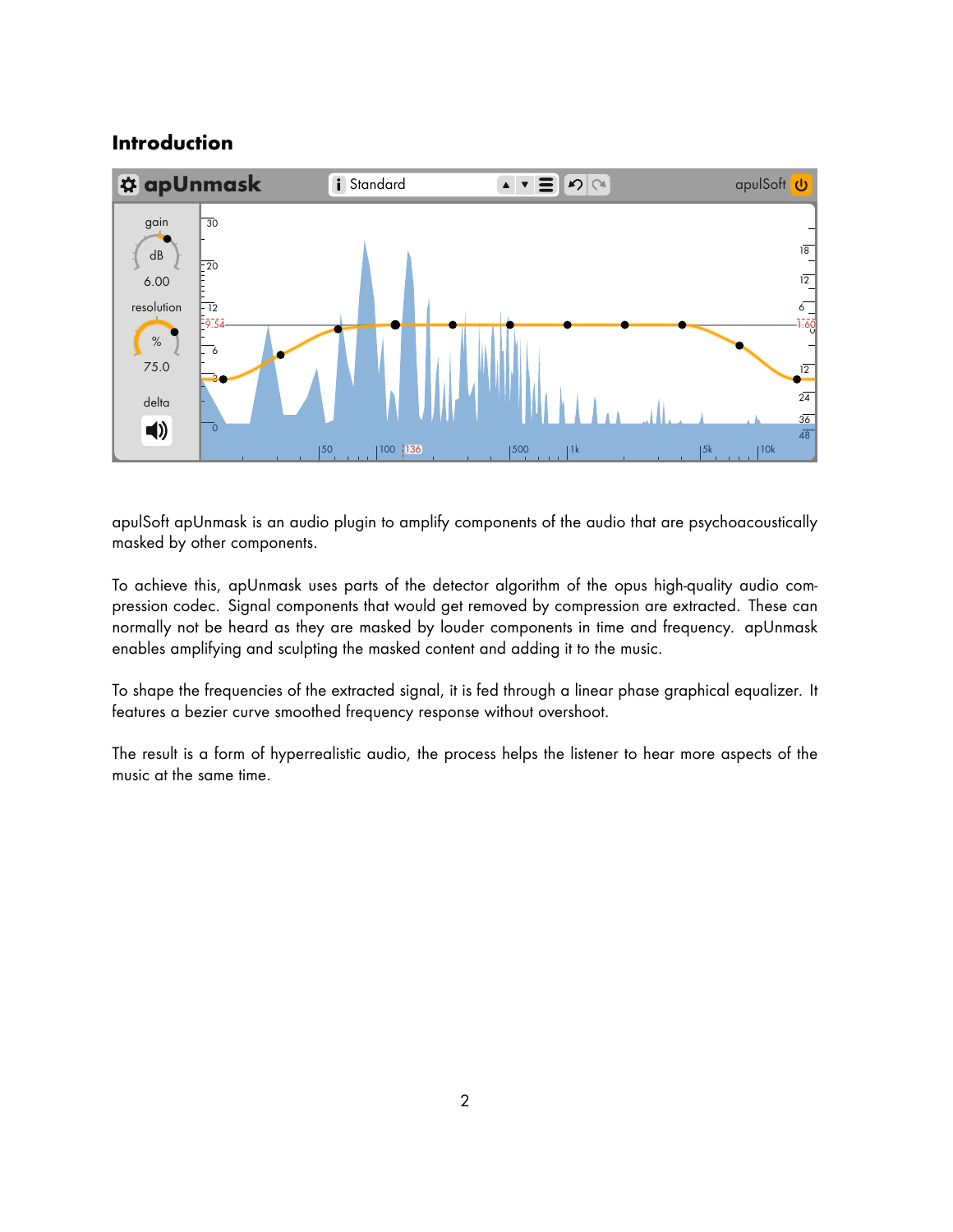## **Introduction**



apulSoft apUnmask is an audio plugin to amplify components of the audio that are psychoacoustically masked by other components.

To achieve this, apUnmask uses parts of the detector algorithm of the opus high-quality audio compression codec. Signal components that would get removed by compression are extracted. These can normally not be heard as they are masked by louder components in time and frequency. apUnmask enables amplifying and sculpting the masked content and adding it to the music.

To shape the frequencies of the extracted signal, it is fed through a linear phase graphical equalizer. It features a bezier curve smoothed frequency response without overshoot.

The result is a form of hyperrealistic audio, the process helps the listener to hear more aspects of the music at the same time.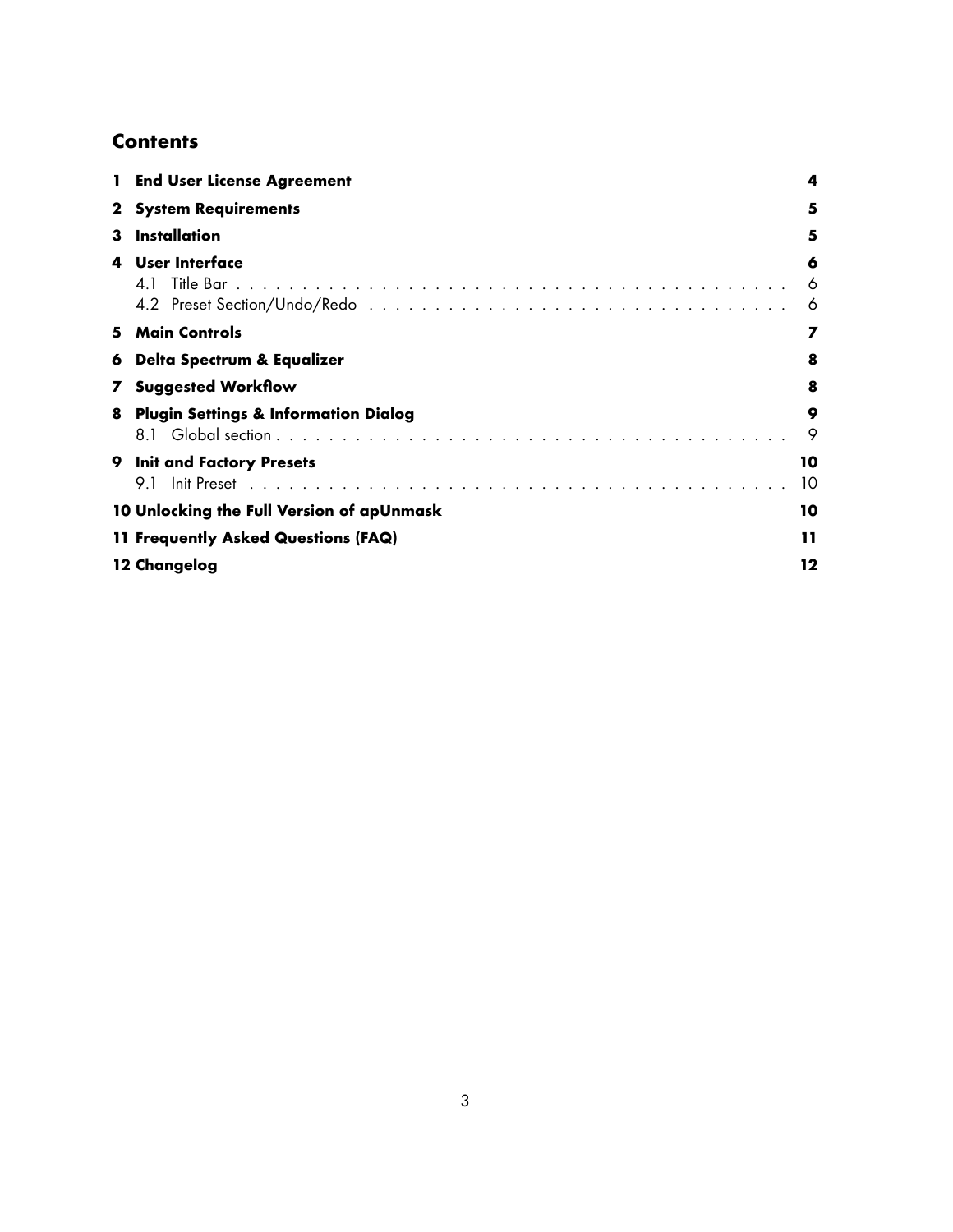# **Contents**

|              | <b>End User License Agreement</b>               | 4           |
|--------------|-------------------------------------------------|-------------|
| 2            | <b>System Requirements</b>                      | 5           |
| з            | Installation                                    | 5           |
| 4            | User Interface                                  | 6<br>6<br>6 |
| 5.           | <b>Main Controls</b>                            | 7           |
| 6            | Delta Spectrum & Equalizer                      | 8           |
| $\mathbf{z}$ | <b>Suggested Workflow</b>                       | 8           |
| 8            | <b>Plugin Settings &amp; Information Dialog</b> | 9<br>9      |
| 9            | <b>Init and Factory Presets</b><br>9.1          | 10<br>10    |
|              | 10 Unlocking the Full Version of apUnmask       | 10          |
|              | 11 Frequently Asked Questions (FAQ)             | 11          |
|              | 12 Changelog                                    | 12          |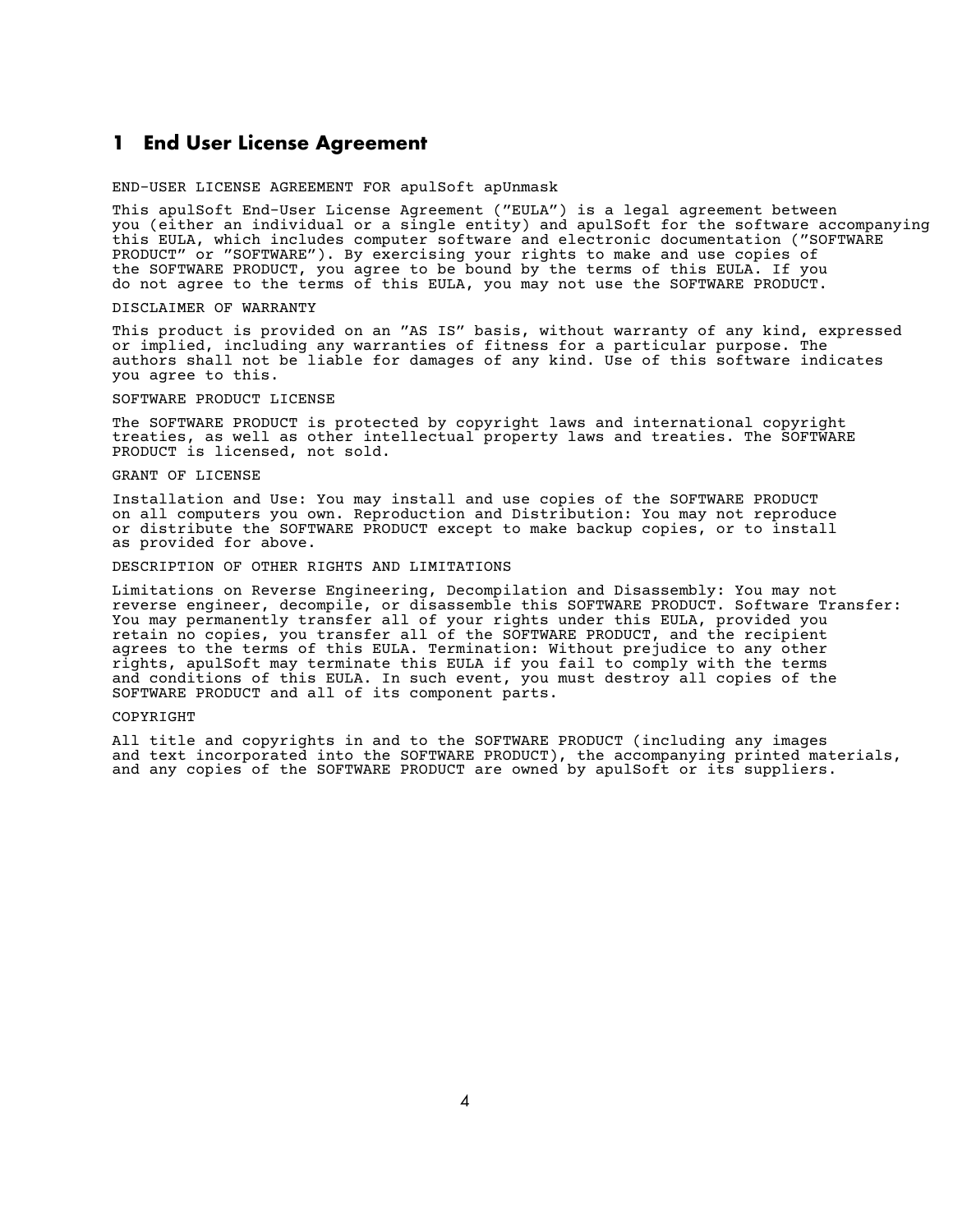#### <span id="page-3-0"></span>**1 End User License Agreement**

END-USER LICENSE AGREEMENT FOR apulSoft apUnmask

This apulSoft End-User License Agreement ("EULA") is a legal agreement between you (either an individual or a single entity) and apulSoft for the software accompanying this EULA, which includes computer software and electronic documentation ("SOFTWARE PRODUCT" or "SOFTWARE"). By exercising your rights to make and use copies of the SOFTWARE PRODUCT, you agree to be bound by the terms of this EULA. If you do not agree to the terms of this EULA, you may not use the SOFTWARE PRODUCT.

#### DISCLAIMER OF WARRANTY

This product is provided on an "AS IS" basis, without warranty of any kind, expressed or implied, including any warranties of fitness for a particular purpose. The authors shall not be liable for damages of any kind. Use of this software indicates you agree to this.

#### SOFTWARE PRODUCT LICENSE

The SOFTWARE PRODUCT is protected by copyright laws and international copyright treaties, as well as other intellectual property laws and treaties. The SOFTWARE PRODUCT is licensed, not sold.

#### GRANT OF LICENSE

Installation and Use: You may install and use copies of the SOFTWARE PRODUCT on all computers you own. Reproduction and Distribution: You may not reproduce or distribute the SOFTWARE PRODUCT except to make backup copies, or to install as provided for above.

#### DESCRIPTION OF OTHER RIGHTS AND LIMITATIONS

Limitations on Reverse Engineering, Decompilation and Disassembly: You may not reverse engineer, decompile, or disassemble this SOFTWARE PRODUCT. Software Transfer: You may permanently transfer all of your rights under this EULA, provided you retain no copies, you transfer all of the SOFTWARE PRODUCT, and the recipient agrees to the terms of this EULA. Termination: Without prejudice to any other rights, apulSoft may terminate this EULA if you fail to comply with the terms and conditions of this EULA. In such event, you must destroy all copies of the SOFTWARE PRODUCT and all of its component parts.

#### COPYRIGHT

All title and copyrights in and to the SOFTWARE PRODUCT (including any images and text incorporated into the SOFTWARE PRODUCT), the accompanying printed materials, and any copies of the SOFTWARE PRODUCT are owned by apulSoft or its suppliers.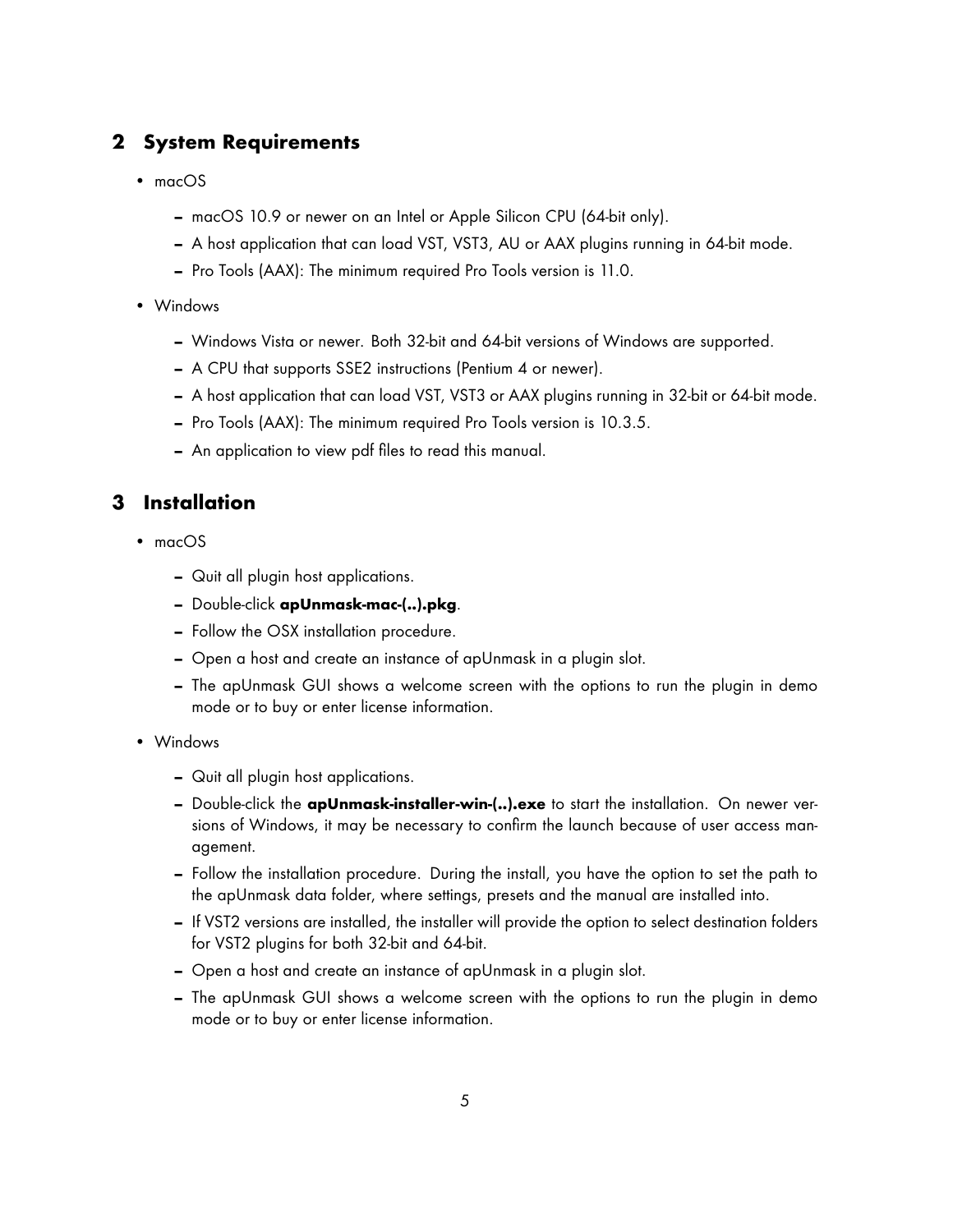# <span id="page-4-0"></span>**2 System Requirements**

- macOS
	- **–** macOS 10.9 or newer on an Intel or Apple Silicon CPU (64-bit only).
	- **–** A host application that can load VST, VST3, AU or AAX plugins running in 64-bit mode.
	- **–** Pro Tools (AAX): The minimum required Pro Tools version is 11.0.
- Windows
	- **–** Windows Vista or newer. Both 32-bit and 64-bit versions of Windows are supported.
	- **–** A CPU that supports SSE2 instructions (Pentium 4 or newer).
	- **–** A host application that can load VST, VST3 or AAX plugins running in 32-bit or 64-bit mode.
	- **–** Pro Tools (AAX): The minimum required Pro Tools version is 10.3.5.
	- **–** An application to view pdf files to read this manual.

# <span id="page-4-1"></span>**3 Installation**

- macOS
	- **–** Quit all plugin host applications.
	- **–** Double-click **apUnmask-mac-(..).pkg**.
	- **–** Follow the OSX installation procedure.
	- **–** Open a host and create an instance of apUnmask in a plugin slot.
	- **–** The apUnmask GUI shows a welcome screen with the options to run the plugin in demo mode or to buy or enter license information.
- Windows
	- **–** Quit all plugin host applications.
	- **–** Double-click the **apUnmask-installer-win-(..).exe** to start the installation. On newer versions of Windows, it may be necessary to confirm the launch because of user access management.
	- **–** Follow the installation procedure. During the install, you have the option to set the path to the apUnmask data folder, where settings, presets and the manual are installed into.
	- **–** If VST2 versions are installed, the installer will provide the option to select destination folders for VST2 plugins for both 32-bit and 64-bit.
	- **–** Open a host and create an instance of apUnmask in a plugin slot.
	- **–** The apUnmask GUI shows a welcome screen with the options to run the plugin in demo mode or to buy or enter license information.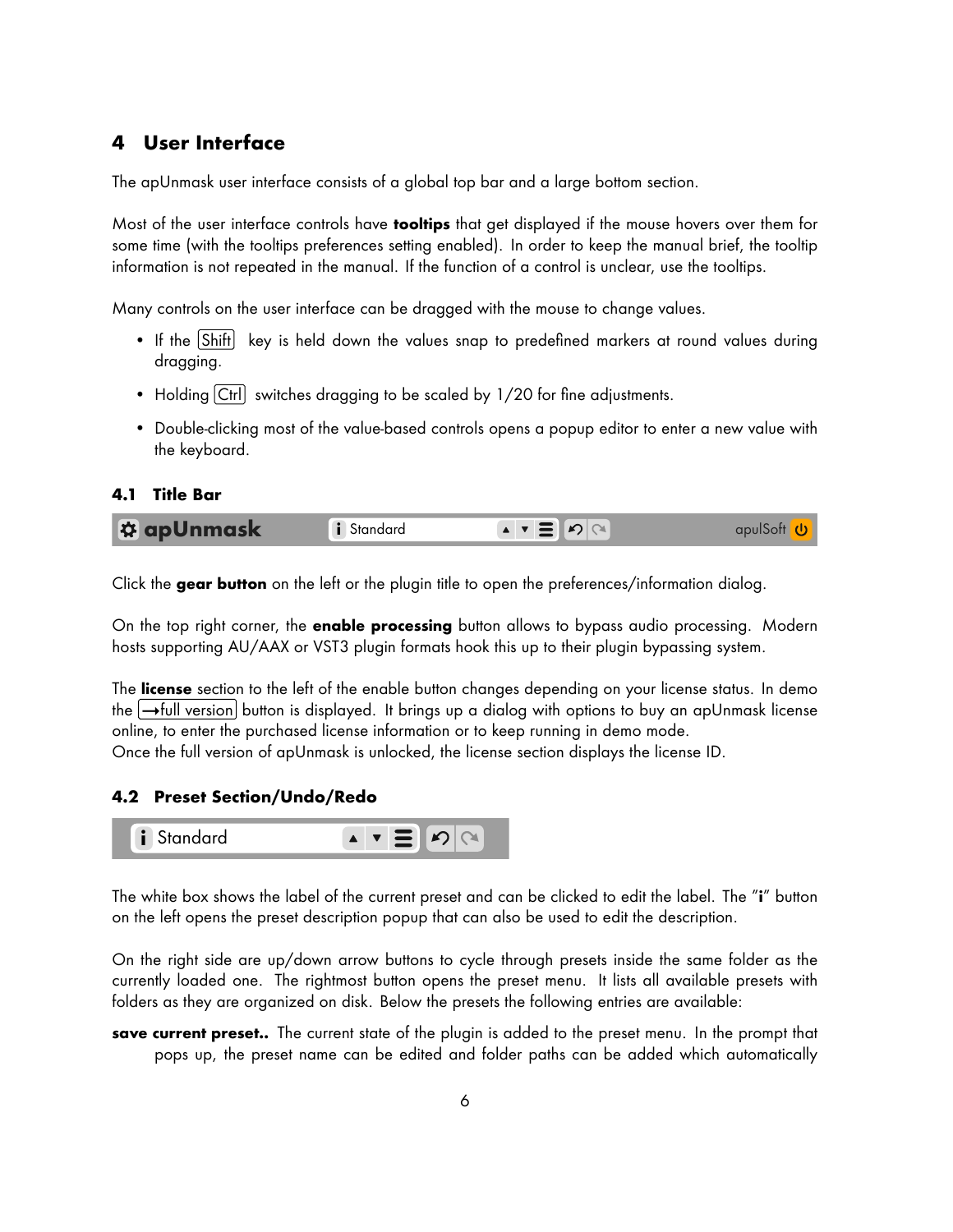## <span id="page-5-0"></span>**4 User Interface**

The apUnmask user interface consists of a global top bar and a large bottom section.

Most of the user interface controls have **tooltips** that get displayed if the mouse hovers over them for some time (with the tooltips preferences setting enabled). In order to keep the manual brief, the tooltip information is not repeated in the manual. If the function of a control is unclear, use the tooltips.

Many controls on the user interface can be dragged with the mouse to change values.

- If the Shift key is held down the values snap to predefined markers at round values during dragging.
- Holding Ctrl switches dragging to be scaled by 1/20 for fine adjustments.
- Double-clicking most of the value-based controls opens a popup editor to enter a new value with the keyboard.

#### <span id="page-5-1"></span>**4.1 Title Bar**

| <b>DE apUnmask</b> | Standard | <b>A</b> V |  |
|--------------------|----------|------------|--|
|--------------------|----------|------------|--|

Click the **gear button** on the left or the plugin title to open the preferences/information dialog.

hosts supporting AU/AAX or VST3 plugin formats hook this up to their plugin bypassing system. On the top right corner, the **enable processing** button allows to bypass audio processing. Modern

The <mark>license</mark> section to the left of the enable button changes depending on your license status. In demo the [→full version] button is displayed. It brings up a dialog with options to buy an apUnmask license 3 online, to enter the purchased license information or to keep running in demo mode. Once the full version of apUnmask is unlocked, the license section displays the license ID.

## <span id="page-5-2"></span>50 100 500 1k 5k 10k **4.2 Preset Section/Undo/Redo**



on the left opens the preset description popup that can also be used to edit the description. The white box shows the label of the current preset and can be clicked to edit the label. The "**i**" button

6 folders as they are organized on disk. Below the presets the following entries are available: 12 On the right side are up/down arrow buttons to cycle through presets inside the same folder as the 9.54 1.600 1.600 1.600 1.600 1.600 1.600 1.600 1.600 1.600 1.600 1.600 1.600 1.600 1.600 1.600 1.600 1.600 1.6 currently loaded one. The rightmost button opens the preset menu. It lists all available presets with

0 **save current preset..** The current state of the plugin is added to the preset menu. In the prompt that pops up, the preset name can be edited and folder paths can be added which automatically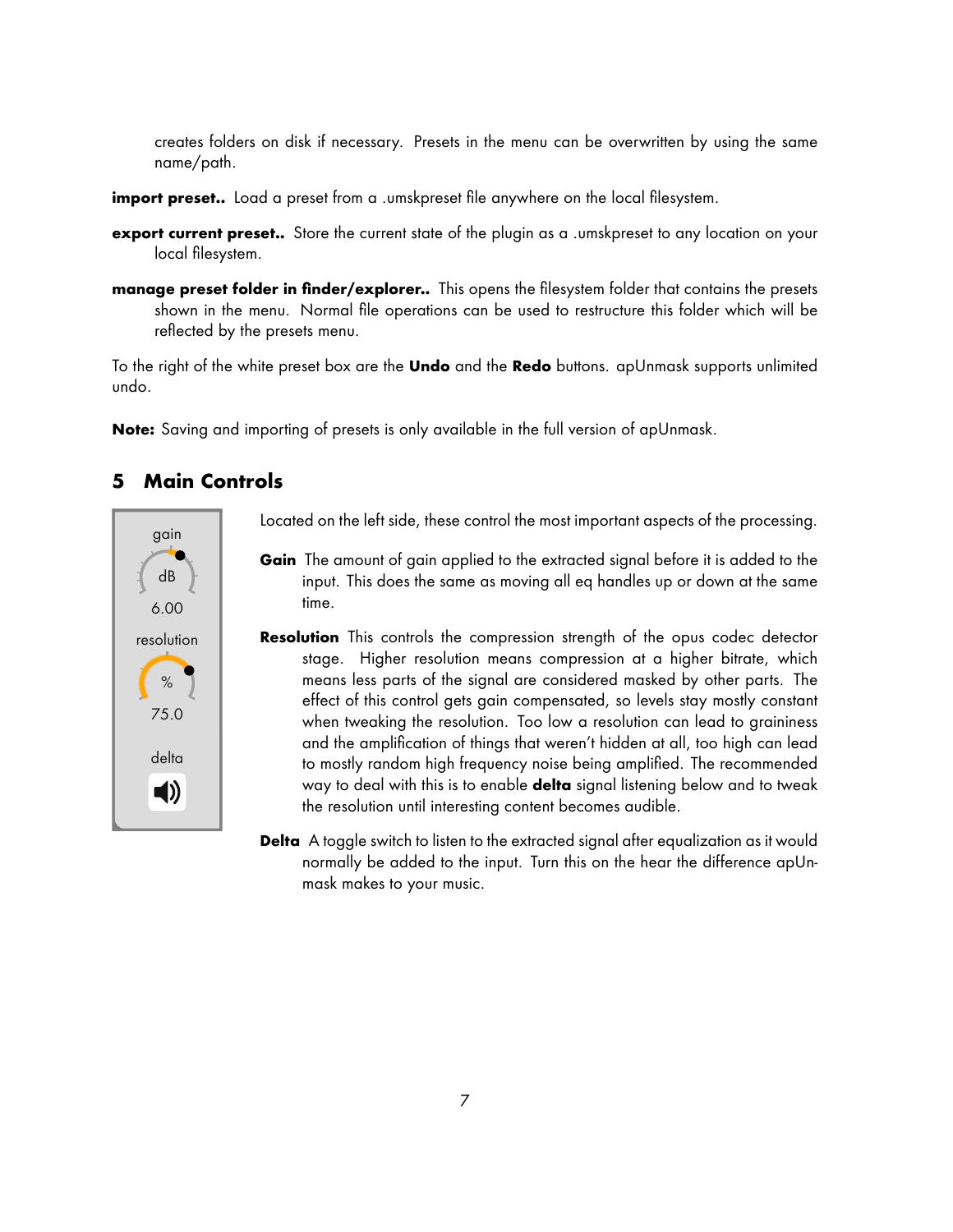creates folders on disk if necessary. Presets in the menu can be overwritten by using the same name/path.

- **import preset..** Load a preset from a .umskpreset file anywhere on the local filesystem.
- **export current preset..** Store the current state of the plugin as a .umskpreset to any location on your local filesystem.
- **manage preset folder in finder/explorer..** This opens the filesystem folder that contains the presets shown in the menu. Normal file operations can be used to restructure this folder which will be reflected by the presets menu.

To the right of the white preset box are the **Undo** and the **Redo** buttons. apUnmask supports unlimited undo.

**Note:** Saving and importing of presets is only available in the full version of apUnmask.

#### <span id="page-6-0"></span>**5 Main Controls a**<br> **i** Standard apul Software apul Software apul Software apul Software apul Software apul Software apul Software apul Software apul Software apul Software apul Software apul Software apul Software apul Software apul Sof



Located on the left side, these control the most important aspects of the processing.

- **Gain** The amount of gain applied to the extracted signal before it is added to the input. This does the same as moving all eq handles up or down at the same time.
- way to deal with this is to enable **delta** signal listening below and to tweak<br>the modulation with interesting explicit because wealthly the resolution until interesting content becomes audible. 9.54 1.60 stage. Higher resolution means compression at a higher bitrate, which **Resolution** This controls the compression strength of the opus codec detector means less parts of the signal are considered masked by other parts. The effect of this control gets gain compensated, so levels stay mostly constant when tweaking the resolution. Too low a resolution can lead to graininess and the amplification of things that weren't hidden at all, too high can lead to mostly random high frequency noise being amplified. The recommended

**Delta** A toggle switch to listen to the extracted signal after equalization as it would normally be added to the input. Turn this on the hear the difference apUnmask makes to your music.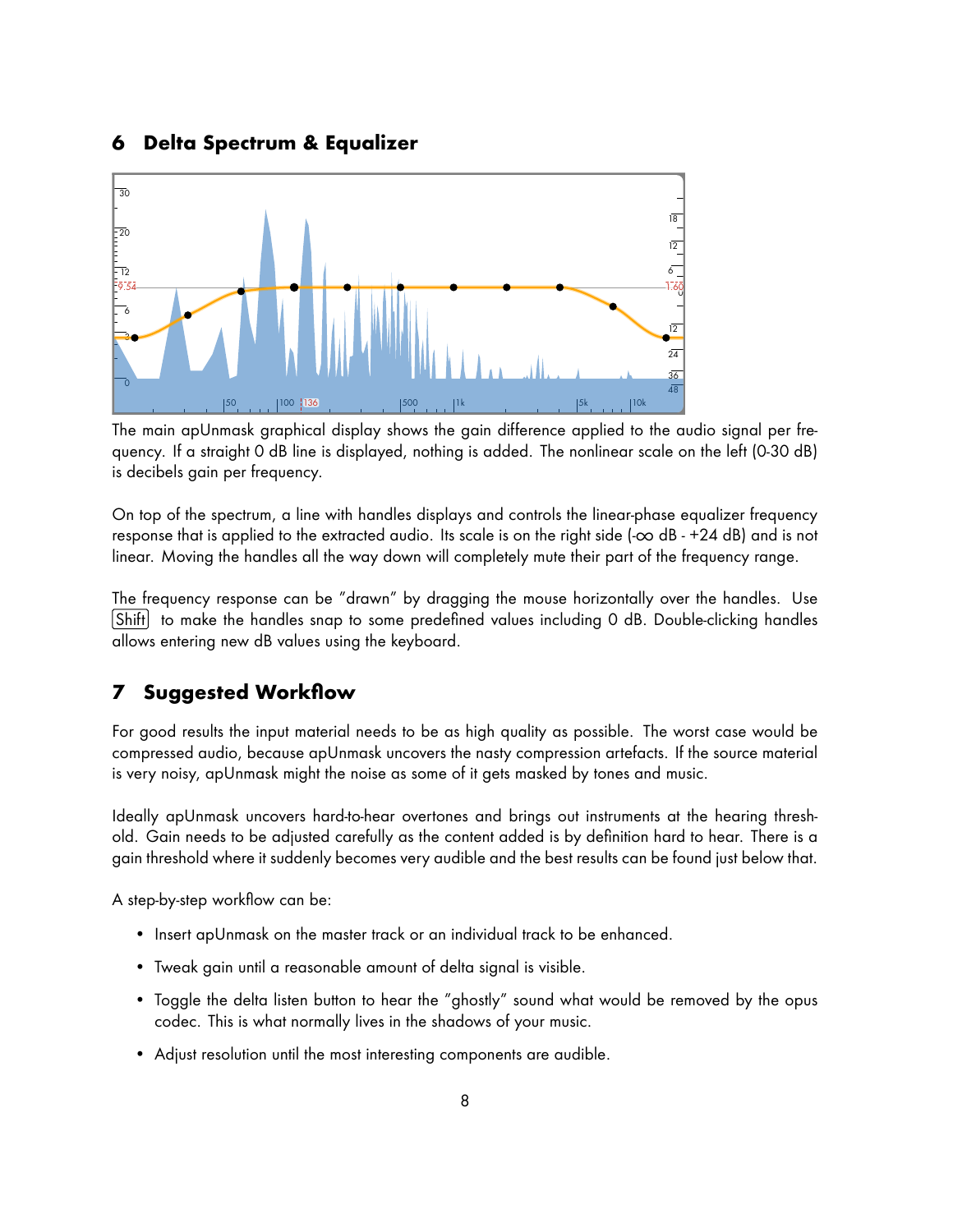### <span id="page-7-0"></span>**6 Delta Spectrum & Equalizer**



The main apUnmask graphical display shows the gain difference applied to the audio signal per frequency. If a straight 0 dB line is displayed, nothing is added. The nonlinear scale on the left (0-30 dB) is decibels gain per frequency.

On top of the spectrum, a line with handles displays and controls the linear-phase equalizer frequency response that is applied to the extracted audio. Its scale is on the right side  $(-\infty$  dB - +24 dB) and is not linear. Moving the handles all the way down will completely mute their part of the frequency range.

The frequency response can be "drawn" by dragging the mouse horizontally over the handles. Use Shift to make the handles snap to some predefined values including 0 dB. Double-clicking handles allows entering new dB values using the keyboard.

## <span id="page-7-1"></span>**7 Suggested Workflow**

For good results the input material needs to be as high quality as possible. The worst case would be compressed audio, because apUnmask uncovers the nasty compression artefacts. If the source material is very noisy, apUnmask might the noise as some of it gets masked by tones and music.

Ideally apUnmask uncovers hard-to-hear overtones and brings out instruments at the hearing threshold. Gain needs to be adjusted carefully as the content added is by definition hard to hear. There is a gain threshold where it suddenly becomes very audible and the best results can be found just below that.

A step-by-step workflow can be:

- Insert apUnmask on the master track or an individual track to be enhanced.
- Tweak gain until a reasonable amount of delta signal is visible.
- Toggle the delta listen button to hear the "ghostly" sound what would be removed by the opus codec. This is what normally lives in the shadows of your music.
- Adjust resolution until the most interesting components are audible.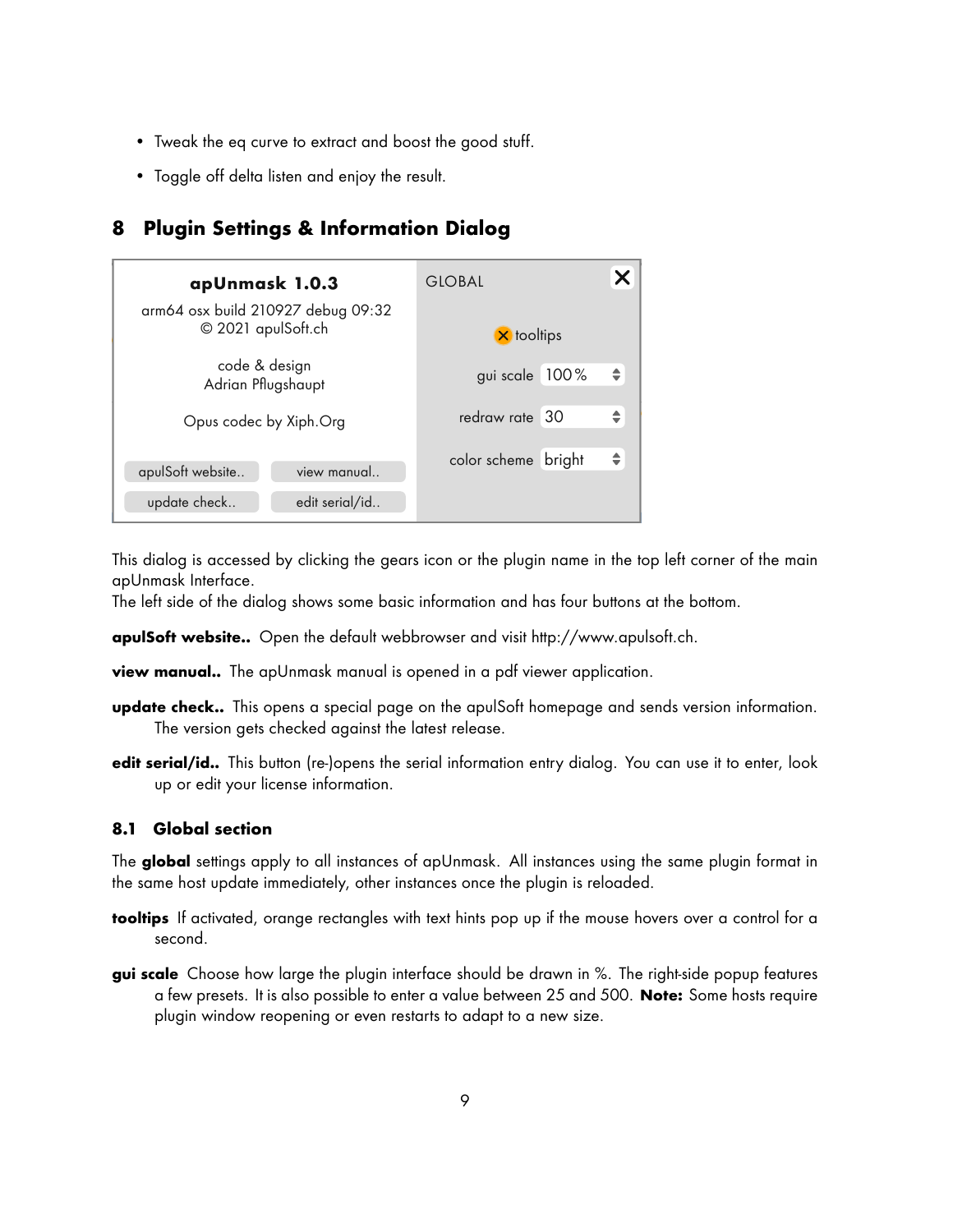- Tweak the eq curve to extract and boost the good stuff.
- <span id="page-8-0"></span>• Toggle off delta listen and enjoy the result.

## **8 Plugin Settings & Information Dialog a** inequired initial version of  $\alpha$  in the internation of  $\alpha$

| apUnmask 1.0.3                                           | <b>GLOBAL</b>       |               |
|----------------------------------------------------------|---------------------|---------------|
| arm64 osx build 210927 debug 09:32<br>© 2021 apulSoft.ch | <b>X</b> tooltips   |               |
| code & design<br>Adrian Pflugshaupt                      | gui scale 100%      | $\Rightarrow$ |
| Opus codec by Xiph.Org                                   | redraw rate 30      | $\div$        |
| apulSoft website<br>view manual                          | color scheme bright | $\Rightarrow$ |
| update check<br>edit serial/id                           |                     |               |

This dialog is accessed by clicking the gears icon or the plugin name in the top left corner of the main apUnmask Interface.

The left side of the dialog shows some basic information and has four buttons at the bottom.

**apulSoft website..** Open the default webbrowser and visit [http://www.apulsoft.ch.](http://www.apulsoft.ch)

**view manual..** The apUnmask manual is opened in a pdf viewer application.

- **update check..** This opens a special page on the apulSoft homepage and sends version information. The version gets checked against the latest release.
- **edit serial/id..** This button (re-)opens the serial information entry dialog. You can use it to enter, look up or edit your license information.

## <span id="page-8-1"></span>**8.1 Global section**

The **global** settings apply to all instances of apUnmask. All instances using the same plugin format in the same host update immediately, other instances once the plugin is reloaded.

- **tooltips** If activated, orange rectangles with text hints pop up if the mouse hovers over a control for a second.
- **gui scale** Choose how large the plugin interface should be drawn in %. The right-side popup features a few presets. It is also possible to enter a value between 25 and 500. **Note:** Some hosts require plugin window reopening or even restarts to adapt to a new size.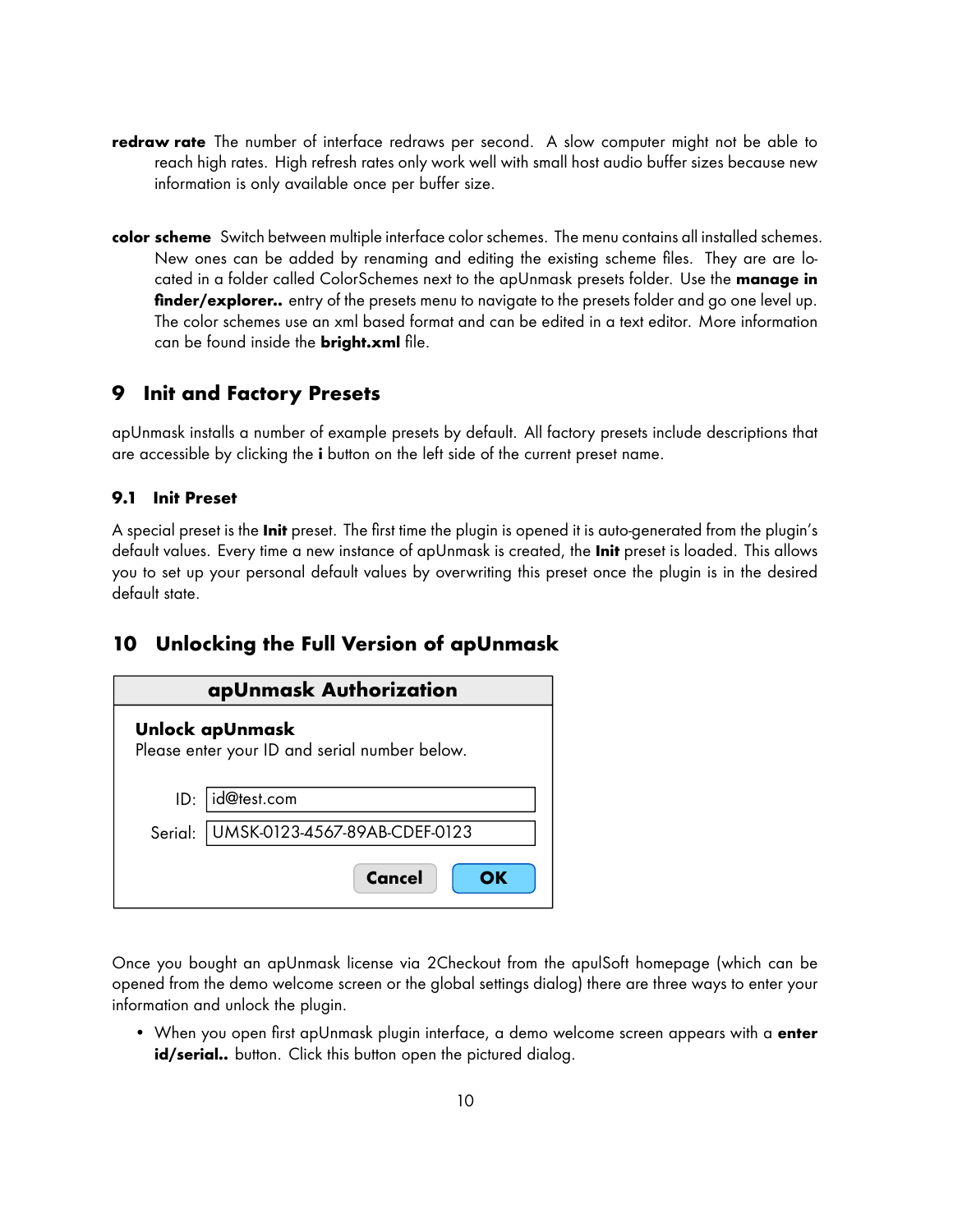- **redraw rate** The number of interface redraws per second. A slow computer might not be able to reach high rates. High refresh rates only work well with small host audio buffer sizes because new information is only available once per buffer size.
- **color scheme** Switch between multiple interface color schemes. The menu contains all installed schemes. New ones can be added by renaming and editing the existing scheme files. They are are located in a folder called ColorSchemes next to the apUnmask presets folder. Use the **manage in finder/explorer..** entry of the presets menu to navigate to the presets folder and go one level up. The color schemes use an xml based format and can be edited in a text editor. More information can be found inside the **bright.xml** file.

# <span id="page-9-0"></span>**9 Init and Factory Presets**

apUnmask installs a number of example presets by default. All factory presets include descriptions that are accessible by clicking the **i** button on the left side of the current preset name.

## <span id="page-9-1"></span>**9.1 Init Preset**

A special preset is the **Init** preset. The first time the plugin is opened it is auto-generated from the plugin's default values. Every time a new instance of apUnmask is created, the **Init** preset is loaded. This allows you to set up your personal default values by overwriting this preset once the plugin is in the desired default state.

# <span id="page-9-2"></span>**10 Unlocking the Full Version of apUnmask**

| apUnmask Authorization                                           |                               |  |  |  |  |  |
|------------------------------------------------------------------|-------------------------------|--|--|--|--|--|
| Unlock apUnmask<br>Please enter your ID and serial number below. |                               |  |  |  |  |  |
|                                                                  |                               |  |  |  |  |  |
| ID:                                                              | id@test.com                   |  |  |  |  |  |
| Serial:                                                          | UMSK-0123-4567-89AB-CDEF-0123 |  |  |  |  |  |
|                                                                  | <b>Cancel</b><br>OK           |  |  |  |  |  |

Once you bought an apUnmask license via 2Checkout from the apulSoft homepage (which can be opened from the demo welcome screen or the global settings dialog) there are three ways to enter your information and unlock the plugin.

• When you open first apUnmask plugin interface, a demo welcome screen appears with a **enter** id/serial.. button. Click this button open the pictured dialog.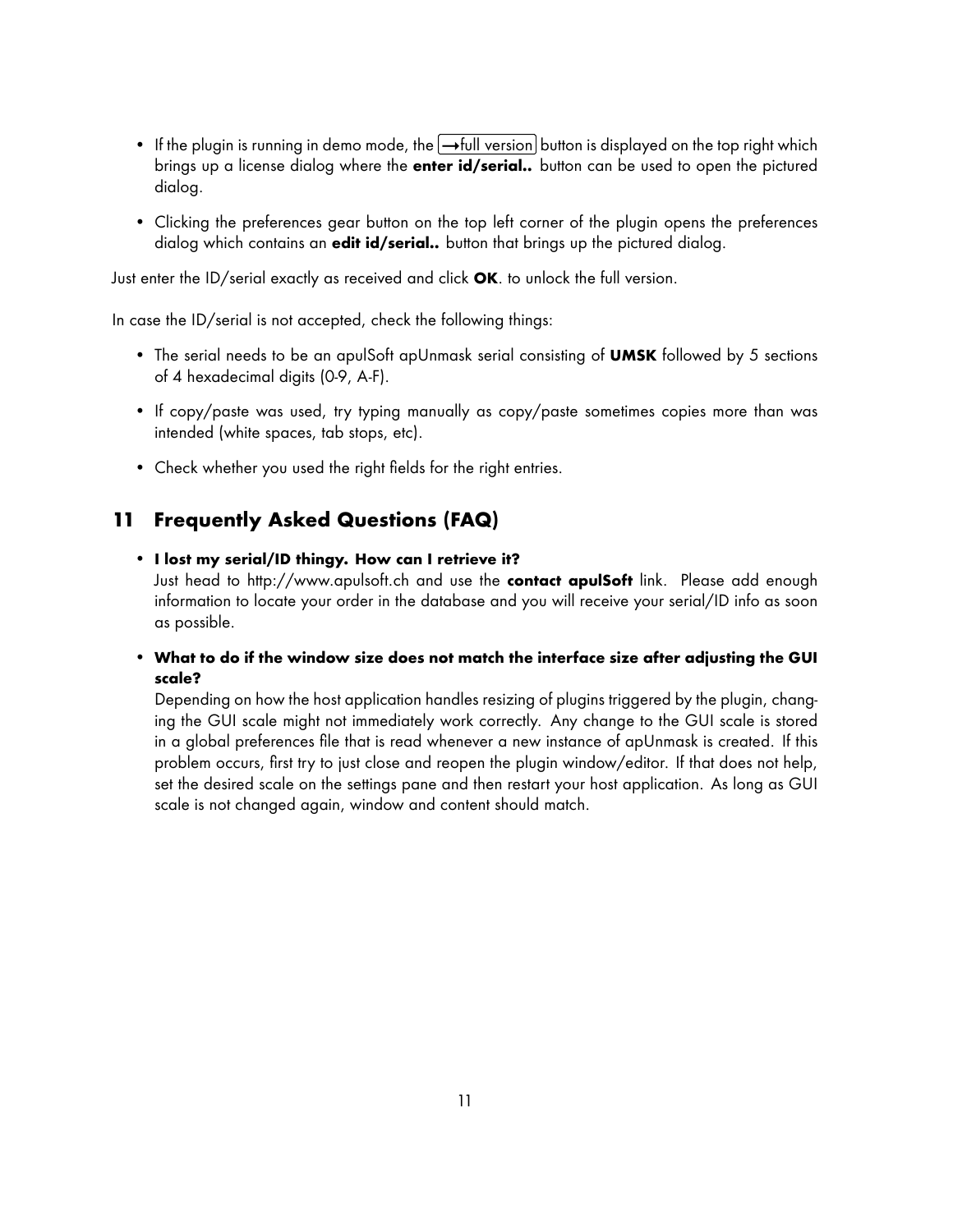- If the plugin is running in demo mode, the  $\rightarrow$  full version button is displayed on the top right which brings up a license dialog where the **enter id/serial..** button can be used to open the pictured dialog.
- Clicking the preferences gear button on the top left corner of the plugin opens the preferences dialog which contains an **edit id/serial..** button that brings up the pictured dialog.

Just enter the ID/serial exactly as received and click **OK**. to unlock the full version.

In case the ID/serial is not accepted, check the following things:

- The serial needs to be an apulSoft apUnmask serial consisting of **UMSK** followed by 5 sections of 4 hexadecimal digits (0-9, A-F).
- If copy/paste was used, try typing manually as copy/paste sometimes copies more than was intended (white spaces, tab stops, etc).
- Check whether you used the right fields for the right entries.

## <span id="page-10-0"></span>**11 Frequently Asked Questions (FAQ)**

#### • **I lost my serial/ID thingy. How can I retrieve it?**

Just head to<http://www.apulsoft.ch> and use the **contact apulSoft** link. Please add enough information to locate your order in the database and you will receive your serial/ID info as soon as possible.

• **What to do if the window size does not match the interface size after adjusting the GUI scale?**

Depending on how the host application handles resizing of plugins triggered by the plugin, changing the GUI scale might not immediately work correctly. Any change to the GUI scale is stored in a global preferences file that is read whenever a new instance of apUnmask is created. If this problem occurs, first try to just close and reopen the plugin window/editor. If that does not help, set the desired scale on the settings pane and then restart your host application. As long as GUI scale is not changed again, window and content should match.